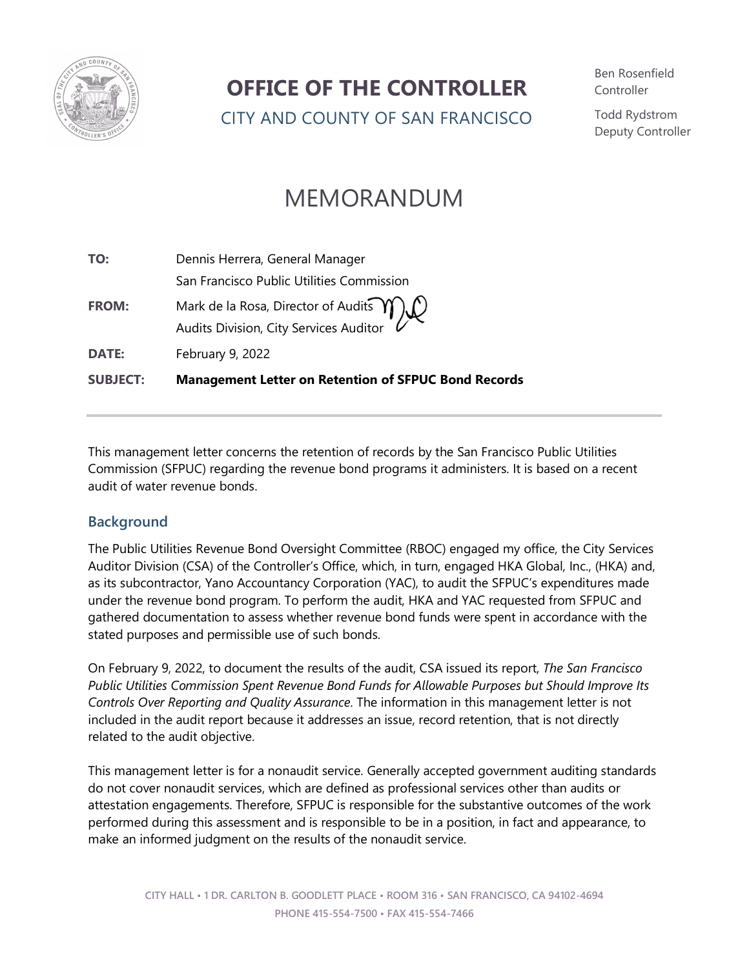

### **OFFICE OF THE CONTROLLER**

CITY AND COUNTY OF SAN FRANCISCO

Ben Rosenfield **Controller** 

Todd Rydstrom Deputy Controller

## MEMORANDUM

| TO:             | Dennis Herrera, General Manager                                                   |
|-----------------|-----------------------------------------------------------------------------------|
|                 | San Francisco Public Utilities Commission                                         |
| <b>FROM:</b>    | Mark de la Rosa, Director of Audits $m$<br>Audits Division, City Services Auditor |
| <b>DATE:</b>    | February 9, 2022                                                                  |
| <b>SUBJECT:</b> | <b>Management Letter on Retention of SFPUC Bond Records</b>                       |

This management letter concerns the retention of records by the San Francisco Public Utilities Commission (SFPUC) regarding the revenue bond programs it administers. It is based on a recent audit of water revenue bonds.

#### **Background**

The Public Utilities Revenue Bond Oversight Committee (RBOC) engaged my office, the City Services Auditor Division (CSA) of the Controller's Office, which, in turn, engaged HKA Global, Inc., (HKA) and, as its subcontractor, Yano Accountancy Corporation (YAC), to audit the SFPUC's expenditures made under the revenue bond program. To perform the audit, HKA and YAC requested from SFPUC and gathered documentation to assess whether revenue bond funds were spent in accordance with the stated purposes and permissible use of such bonds.

On February 9, 2022, to document the results of the audit, CSA issued its report, *The San Francisco Public Utilities Commission Spent Revenue Bond Funds for Allowable Purposes but Should Improve Its Controls Over Reporting and Quality Assurance*. The information in this management letter is not included in the audit report because it addresses an issue, record retention, that is not directly related to the audit objective.

This management letter is for a nonaudit service. Generally accepted government auditing standards do not cover nonaudit services, which are defined as professional services other than audits or attestation engagements. Therefore, SFPUC is responsible for the substantive outcomes of the work performed during this assessment and is responsible to be in a position, in fact and appearance, to make an informed judgment on the results of the nonaudit service.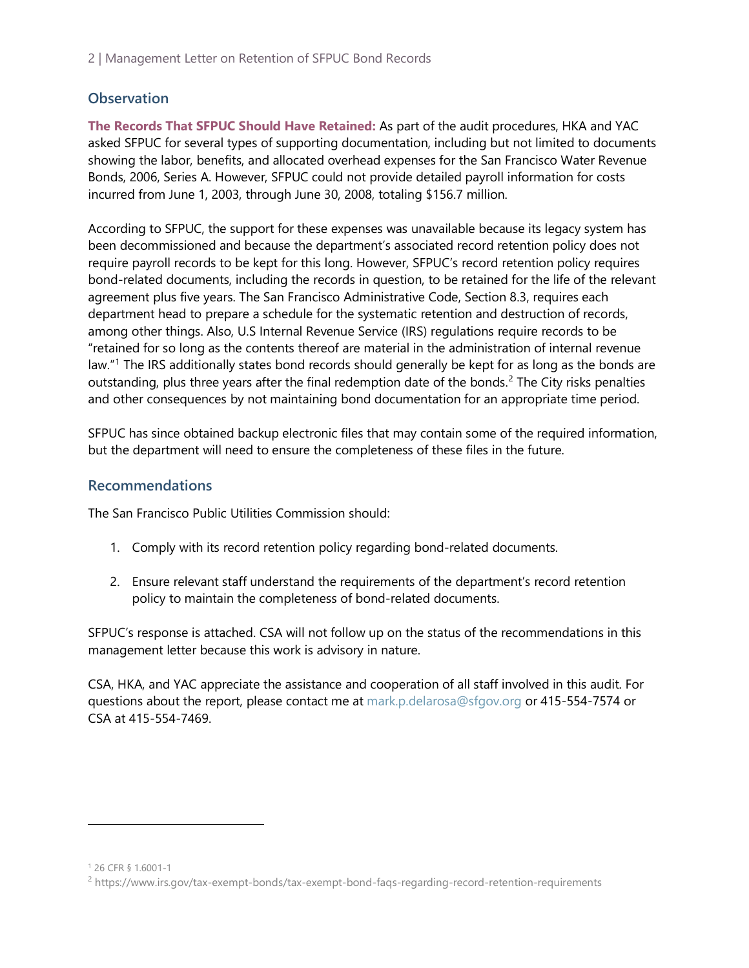2 | Management Letter on Retention of SFPUC Bond Records

#### **Observation**

**The Records That SFPUC Should Have Retained:** As part of the audit procedures, HKA and YAC asked SFPUC for several types of supporting documentation, including but not limited to documents showing the labor, benefits, and allocated overhead expenses for the San Francisco Water Revenue Bonds, 2006, Series A. However, SFPUC could not provide detailed payroll information for costs incurred from June 1, 2003, through June 30, 2008, totaling \$156.7 million.

According to SFPUC, the support for these expenses was unavailable because its legacy system has been decommissioned and because the department's associated record retention policy does not require payroll records to be kept for this long. However, SFPUC's record retention policy requires bond-related documents, including the records in question, to be retained for the life of the relevant agreement plus five years. The San Francisco Administrative Code, Section 8.3, requires each department head to prepare a schedule for the systematic retention and destruction of records, among other things. Also, U.S Internal Revenue Service (IRS) regulations require records to be "retained for so long as the contents thereof are material in the administration of internal revenue law."<sup>[1](#page-1-0)</sup> The IRS additionally states bond records should generally be kept for as long as the bonds are outstanding, plus three years after the final redemption date of the bonds.<sup>[2](#page-1-1)</sup> The City risks penalties and other consequences by not maintaining bond documentation for an appropriate time period.

SFPUC has since obtained backup electronic files that may contain some of the required information, but the department will need to ensure the completeness of these files in the future.

#### **Recommendations**

The San Francisco Public Utilities Commission should:

- 1. Comply with its record retention policy regarding bond-related documents.
- 2. Ensure relevant staff understand the requirements of the department's record retention policy to maintain the completeness of bond-related documents.

SFPUC's response is attached. CSA will not follow up on the status of the recommendations in this management letter because this work is advisory in nature.

CSA, HKA, and YAC appreciate the assistance and cooperation of all staff involved in this audit. For questions about the report, please contact me at [mark.p.delarosa@sfgov.org](mailto:mark.p.delarosa@sfgov.org) or 415-554-7574 or CSA at 415-554-7469.

<span id="page-1-0"></span><sup>1</sup> 26 CFR § 1.6001-1

<span id="page-1-1"></span><sup>2</sup> https://www.irs.gov/tax-exempt-bonds/tax-exempt-bond-faqs-regarding-record-retention-requirements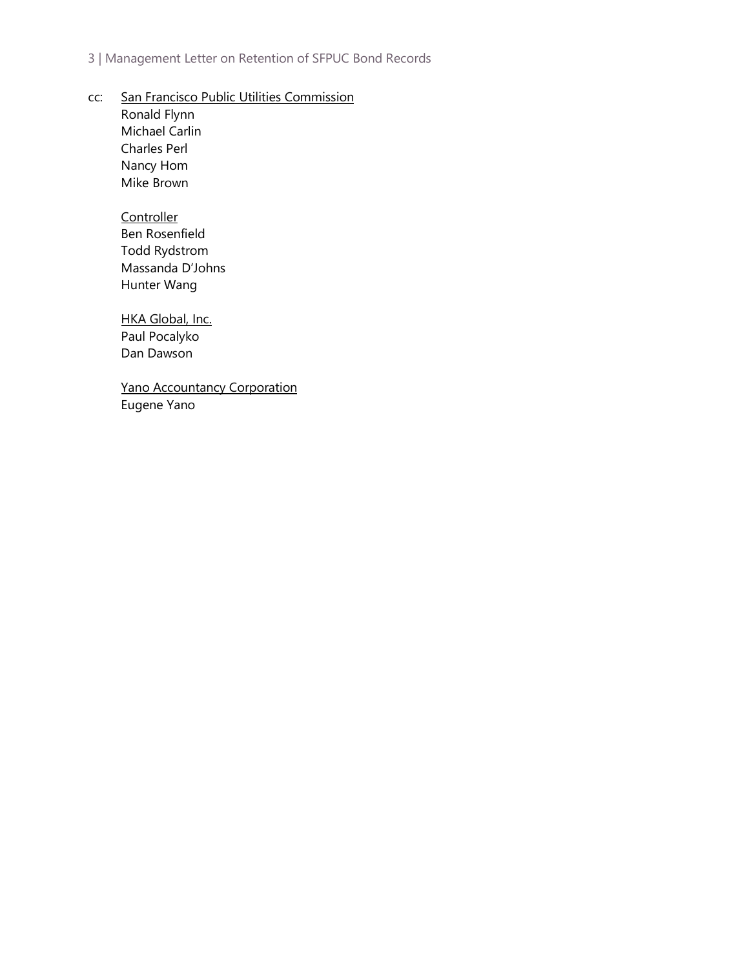#### 3 | Management Letter on Retention of SFPUC Bond Records

cc: San Francisco Public Utilities Commission

Ronald Flynn Michael Carlin Charles Perl Nancy Hom Mike Brown

#### **Controller**

Ben Rosenfield Todd Rydstrom Massanda D'Johns Hunter Wang

#### HKA Global, Inc.

Paul Pocalyko Dan Dawson

Yano Accountancy Corporation Eugene Yano